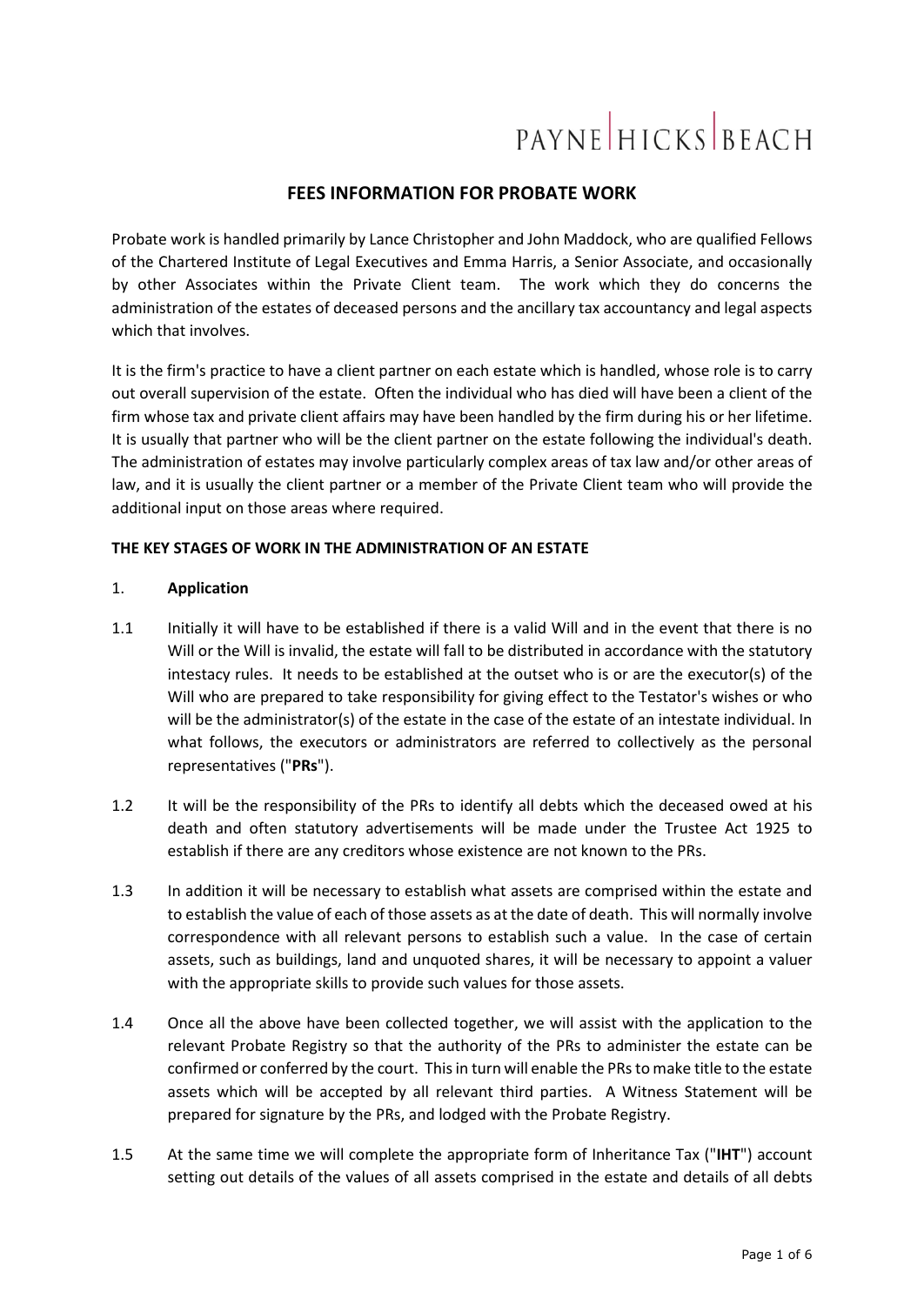# **PAYNE HICKS BEACH**

# **FEES INFORMATION FOR PROBATE WORK**

Probate work is handled primarily by Lance Christopher and John Maddock, who are qualified Fellows of the Chartered Institute of Legal Executives and Emma Harris, a Senior Associate, and occasionally by other Associates within the Private Client team. The work which they do concerns the administration of the estates of deceased persons and the ancillary tax accountancy and legal aspects which that involves.

It is the firm's practice to have a client partner on each estate which is handled, whose role is to carry out overall supervision of the estate. Often the individual who has died will have been a client of the firm whose tax and private client affairs may have been handled by the firm during his or her lifetime. It is usually that partner who will be the client partner on the estate following the individual's death. The administration of estates may involve particularly complex areas of tax law and/or other areas of law, and it is usually the client partner or a member of the Private Client team who will provide the additional input on those areas where required.

# **THE KEY STAGES OF WORK IN THE ADMINISTRATION OF AN ESTATE**

# 1. **Application**

- 1.1 Initially it will have to be established if there is a valid Will and in the event that there is no Will or the Will is invalid, the estate will fall to be distributed in accordance with the statutory intestacy rules. It needs to be established at the outset who is or are the executor(s) of the Will who are prepared to take responsibility for giving effect to the Testator's wishes or who will be the administrator(s) of the estate in the case of the estate of an intestate individual. In what follows, the executors or administrators are referred to collectively as the personal representatives ("**PRs**").
- 1.2 It will be the responsibility of the PRs to identify all debts which the deceased owed at his death and often statutory advertisements will be made under the Trustee Act 1925 to establish if there are any creditors whose existence are not known to the PRs.
- 1.3 In addition it will be necessary to establish what assets are comprised within the estate and to establish the value of each of those assets as at the date of death. This will normally involve correspondence with all relevant persons to establish such a value. In the case of certain assets, such as buildings, land and unquoted shares, it will be necessary to appoint a valuer with the appropriate skills to provide such values for those assets.
- 1.4 Once all the above have been collected together, we will assist with the application to the relevant Probate Registry so that the authority of the PRs to administer the estate can be confirmed or conferred by the court. This in turn will enable the PRs to make title to the estate assets which will be accepted by all relevant third parties. A Witness Statement will be prepared for signature by the PRs, and lodged with the Probate Registry.
- 1.5 At the same time we will complete the appropriate form of Inheritance Tax ("**IHT**") account setting out details of the values of all assets comprised in the estate and details of all debts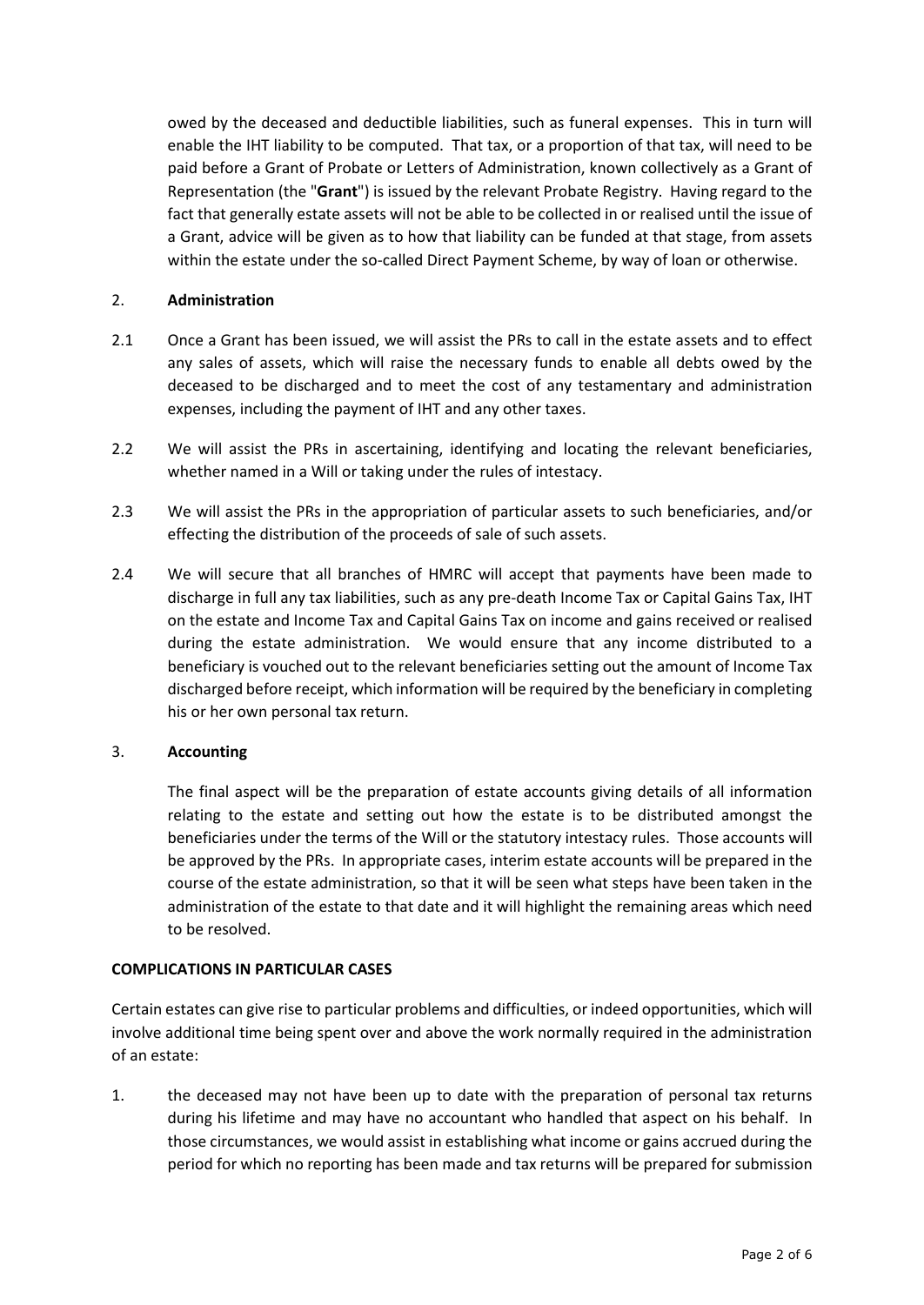owed by the deceased and deductible liabilities, such as funeral expenses. This in turn will enable the IHT liability to be computed. That tax, or a proportion of that tax, will need to be paid before a Grant of Probate or Letters of Administration, known collectively as a Grant of Representation (the "**Grant**") is issued by the relevant Probate Registry. Having regard to the fact that generally estate assets will not be able to be collected in or realised until the issue of a Grant, advice will be given as to how that liability can be funded at that stage, from assets within the estate under the so-called Direct Payment Scheme, by way of loan or otherwise.

# 2. **Administration**

- 2.1 Once a Grant has been issued, we will assist the PRs to call in the estate assets and to effect any sales of assets, which will raise the necessary funds to enable all debts owed by the deceased to be discharged and to meet the cost of any testamentary and administration expenses, including the payment of IHT and any other taxes.
- 2.2 We will assist the PRs in ascertaining, identifying and locating the relevant beneficiaries, whether named in a Will or taking under the rules of intestacy.
- 2.3 We will assist the PRs in the appropriation of particular assets to such beneficiaries, and/or effecting the distribution of the proceeds of sale of such assets.
- 2.4 We will secure that all branches of HMRC will accept that payments have been made to discharge in full any tax liabilities, such as any pre-death Income Tax or Capital Gains Tax, IHT on the estate and Income Tax and Capital Gains Tax on income and gains received or realised during the estate administration. We would ensure that any income distributed to a beneficiary is vouched out to the relevant beneficiaries setting out the amount of Income Tax discharged before receipt, which information will be required by the beneficiary in completing his or her own personal tax return.

### 3. **Accounting**

The final aspect will be the preparation of estate accounts giving details of all information relating to the estate and setting out how the estate is to be distributed amongst the beneficiaries under the terms of the Will or the statutory intestacy rules. Those accounts will be approved by the PRs. In appropriate cases, interim estate accounts will be prepared in the course of the estate administration, so that it will be seen what steps have been taken in the administration of the estate to that date and it will highlight the remaining areas which need to be resolved.

### **COMPLICATIONS IN PARTICULAR CASES**

Certain estates can give rise to particular problems and difficulties, or indeed opportunities, which will involve additional time being spent over and above the work normally required in the administration of an estate:

1. the deceased may not have been up to date with the preparation of personal tax returns during his lifetime and may have no accountant who handled that aspect on his behalf. In those circumstances, we would assist in establishing what income or gains accrued during the period for which no reporting has been made and tax returns will be prepared for submission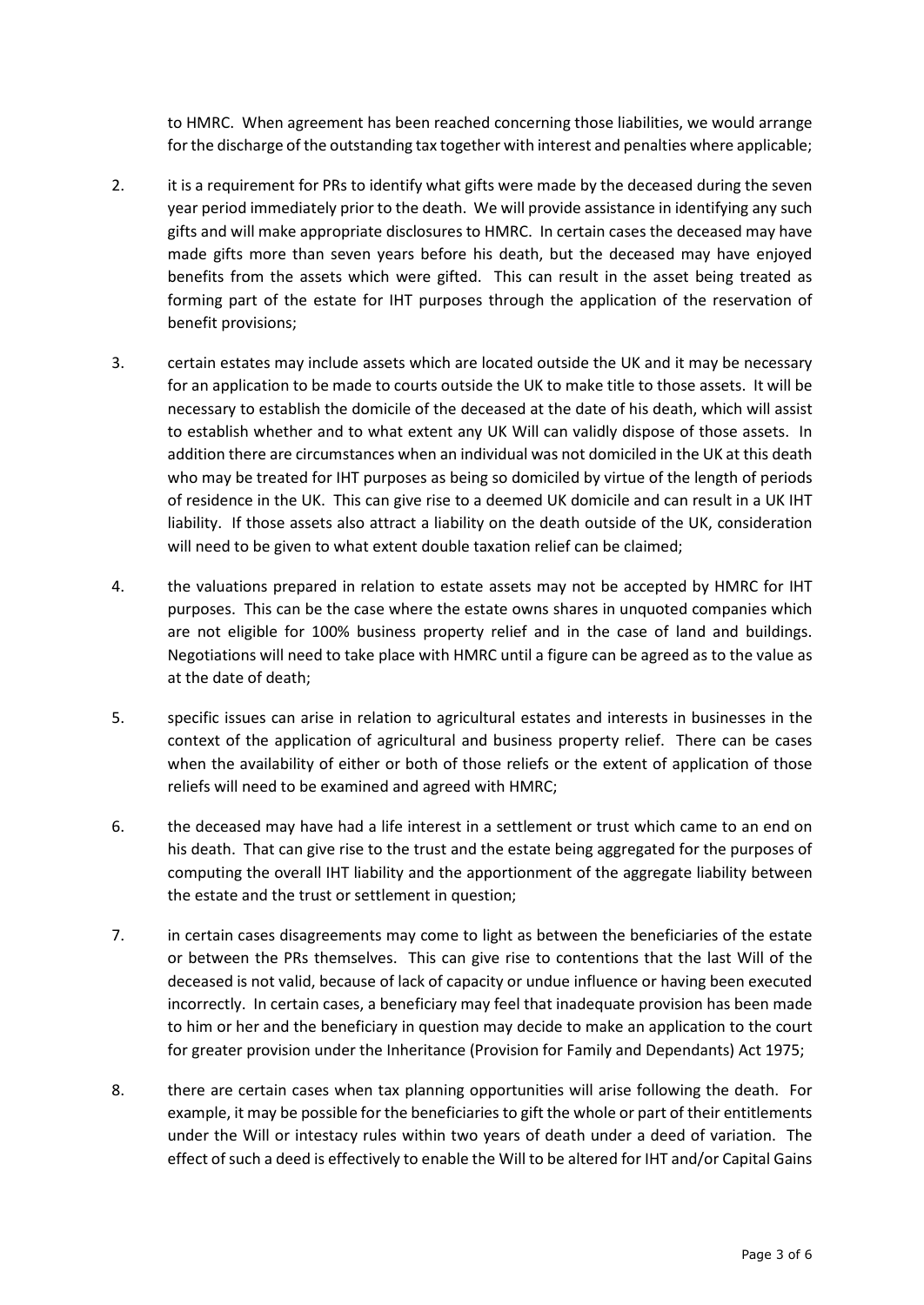to HMRC. When agreement has been reached concerning those liabilities, we would arrange for the discharge of the outstanding tax together with interest and penalties where applicable;

- 2. it is a requirement for PRs to identify what gifts were made by the deceased during the seven year period immediately prior to the death. We will provide assistance in identifying any such gifts and will make appropriate disclosures to HMRC. In certain cases the deceased may have made gifts more than seven years before his death, but the deceased may have enjoyed benefits from the assets which were gifted. This can result in the asset being treated as forming part of the estate for IHT purposes through the application of the reservation of benefit provisions;
- 3. certain estates may include assets which are located outside the UK and it may be necessary for an application to be made to courts outside the UK to make title to those assets. It will be necessary to establish the domicile of the deceased at the date of his death, which will assist to establish whether and to what extent any UK Will can validly dispose of those assets. In addition there are circumstances when an individual was not domiciled in the UK at this death who may be treated for IHT purposes as being so domiciled by virtue of the length of periods of residence in the UK. This can give rise to a deemed UK domicile and can result in a UK IHT liability. If those assets also attract a liability on the death outside of the UK, consideration will need to be given to what extent double taxation relief can be claimed;
- 4. the valuations prepared in relation to estate assets may not be accepted by HMRC for IHT purposes. This can be the case where the estate owns shares in unquoted companies which are not eligible for 100% business property relief and in the case of land and buildings. Negotiations will need to take place with HMRC until a figure can be agreed as to the value as at the date of death;
- 5. specific issues can arise in relation to agricultural estates and interests in businesses in the context of the application of agricultural and business property relief. There can be cases when the availability of either or both of those reliefs or the extent of application of those reliefs will need to be examined and agreed with HMRC;
- 6. the deceased may have had a life interest in a settlement or trust which came to an end on his death. That can give rise to the trust and the estate being aggregated for the purposes of computing the overall IHT liability and the apportionment of the aggregate liability between the estate and the trust or settlement in question;
- 7. in certain cases disagreements may come to light as between the beneficiaries of the estate or between the PRs themselves. This can give rise to contentions that the last Will of the deceased is not valid, because of lack of capacity or undue influence or having been executed incorrectly. In certain cases, a beneficiary may feel that inadequate provision has been made to him or her and the beneficiary in question may decide to make an application to the court for greater provision under the Inheritance (Provision for Family and Dependants) Act 1975;
- 8. there are certain cases when tax planning opportunities will arise following the death. For example, it may be possible for the beneficiaries to gift the whole or part of their entitlements under the Will or intestacy rules within two years of death under a deed of variation. The effect of such a deed is effectively to enable the Will to be altered for IHT and/or Capital Gains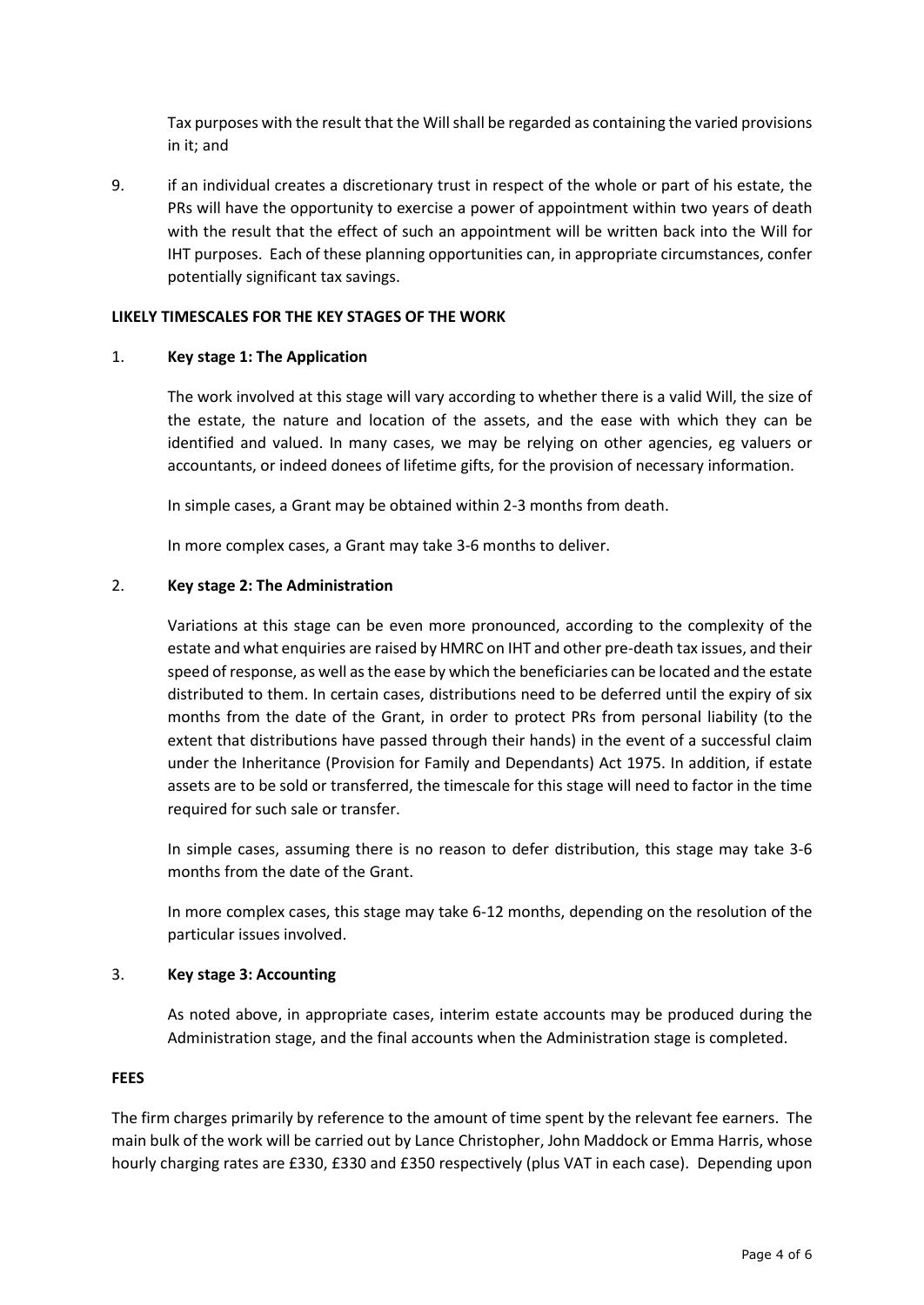Tax purposes with the result that the Will shall be regarded as containing the varied provisions in it; and

9. if an individual creates a discretionary trust in respect of the whole or part of his estate, the PRs will have the opportunity to exercise a power of appointment within two years of death with the result that the effect of such an appointment will be written back into the Will for IHT purposes. Each of these planning opportunities can, in appropriate circumstances, confer potentially significant tax savings.

## **LIKELY TIMESCALES FOR THE KEY STAGES OF THE WORK**

### 1. **Key stage 1: The Application**

The work involved at this stage will vary according to whether there is a valid Will, the size of the estate, the nature and location of the assets, and the ease with which they can be identified and valued. In many cases, we may be relying on other agencies, eg valuers or accountants, or indeed donees of lifetime gifts, for the provision of necessary information.

In simple cases, a Grant may be obtained within 2-3 months from death.

In more complex cases, a Grant may take 3-6 months to deliver.

# 2. **Key stage 2: The Administration**

Variations at this stage can be even more pronounced, according to the complexity of the estate and what enquiries are raised by HMRC on IHT and other pre-death tax issues, and their speed of response, as well as the ease by which the beneficiaries can be located and the estate distributed to them. In certain cases, distributions need to be deferred until the expiry of six months from the date of the Grant, in order to protect PRs from personal liability (to the extent that distributions have passed through their hands) in the event of a successful claim under the Inheritance (Provision for Family and Dependants) Act 1975. In addition, if estate assets are to be sold or transferred, the timescale for this stage will need to factor in the time required for such sale or transfer.

In simple cases, assuming there is no reason to defer distribution, this stage may take 3-6 months from the date of the Grant.

In more complex cases, this stage may take 6-12 months, depending on the resolution of the particular issues involved.

### 3. **Key stage 3: Accounting**

As noted above, in appropriate cases, interim estate accounts may be produced during the Administration stage, and the final accounts when the Administration stage is completed.

### **FEES**

The firm charges primarily by reference to the amount of time spent by the relevant fee earners. The main bulk of the work will be carried out by Lance Christopher, John Maddock or Emma Harris, whose hourly charging rates are £330, £330 and £350 respectively (plus VAT in each case). Depending upon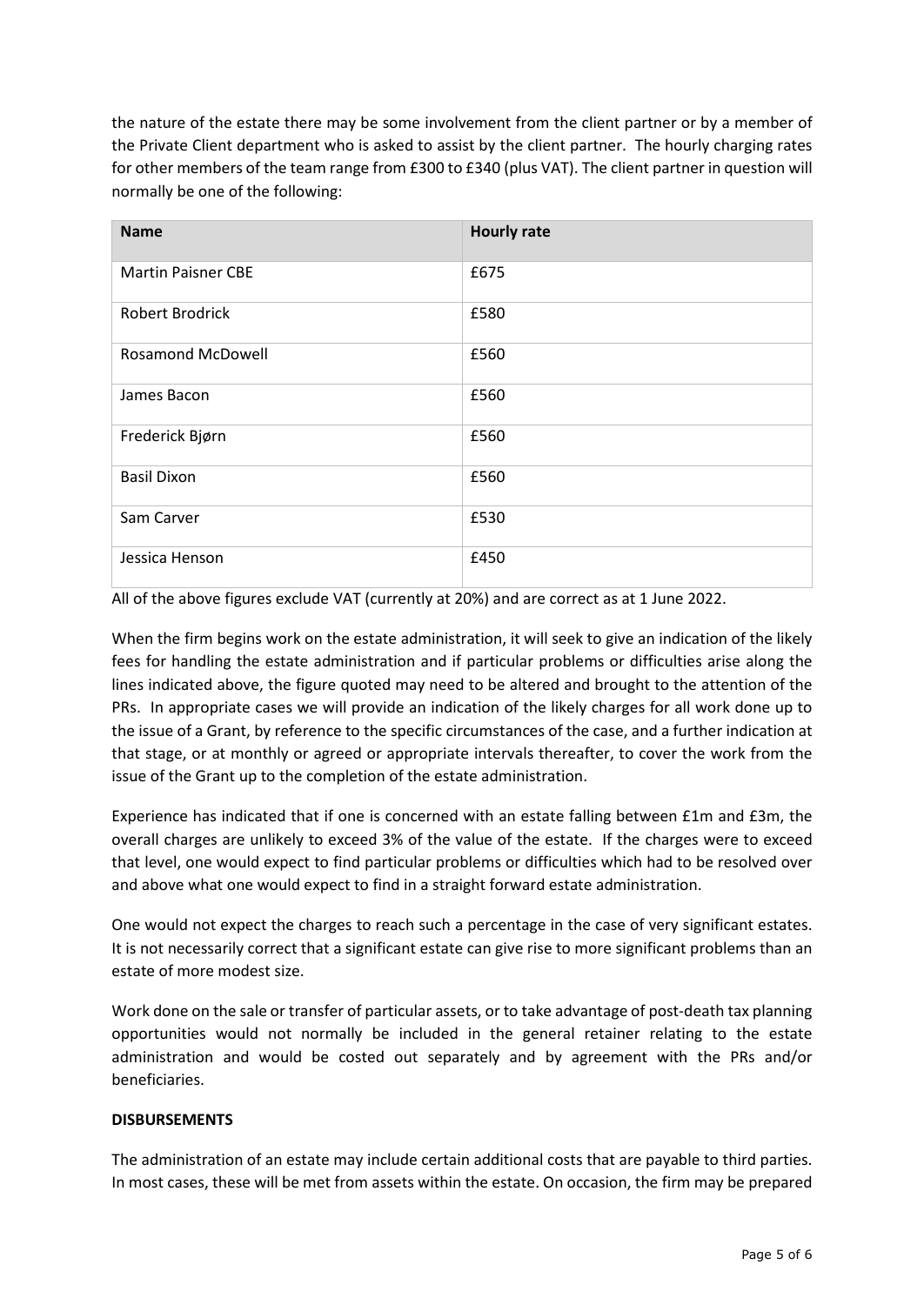the nature of the estate there may be some involvement from the client partner or by a member of the Private Client department who is asked to assist by the client partner. The hourly charging rates for other members of the team range from £300 to £340 (plus VAT). The client partner in question will normally be one of the following:

| <b>Name</b>               | <b>Hourly rate</b> |
|---------------------------|--------------------|
| <b>Martin Paisner CBE</b> | £675               |
| Robert Brodrick           | £580               |
| <b>Rosamond McDowell</b>  | £560               |
| James Bacon               | £560               |
| Frederick Bjørn           | £560               |
| <b>Basil Dixon</b>        | £560               |
| Sam Carver                | £530               |
| Jessica Henson            | £450               |

All of the above figures exclude VAT (currently at 20%) and are correct as at 1 June 2022.

When the firm begins work on the estate administration, it will seek to give an indication of the likely fees for handling the estate administration and if particular problems or difficulties arise along the lines indicated above, the figure quoted may need to be altered and brought to the attention of the PRs. In appropriate cases we will provide an indication of the likely charges for all work done up to the issue of a Grant, by reference to the specific circumstances of the case, and a further indication at that stage, or at monthly or agreed or appropriate intervals thereafter, to cover the work from the issue of the Grant up to the completion of the estate administration.

Experience has indicated that if one is concerned with an estate falling between £1m and £3m, the overall charges are unlikely to exceed 3% of the value of the estate. If the charges were to exceed that level, one would expect to find particular problems or difficulties which had to be resolved over and above what one would expect to find in a straight forward estate administration.

One would not expect the charges to reach such a percentage in the case of very significant estates. It is not necessarily correct that a significant estate can give rise to more significant problems than an estate of more modest size.

Work done on the sale or transfer of particular assets, or to take advantage of post-death tax planning opportunities would not normally be included in the general retainer relating to the estate administration and would be costed out separately and by agreement with the PRs and/or beneficiaries.

### **DISBURSEMENTS**

The administration of an estate may include certain additional costs that are payable to third parties. In most cases, these will be met from assets within the estate. On occasion, the firm may be prepared